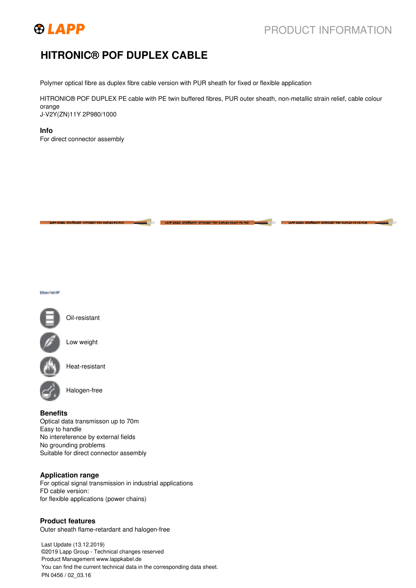

# **HITRONIC® POF DUPLEX CABLE**

Polymer optical fibre as duplex fibre cable version with PUR sheath for fixed or flexible application

HITRONIC® POF DUPLEX PE cable with PE twin buffered fibres, PUR outer sheath, non-metallic strain relief, cable colour orange J-V2Y(ZN)11Y 2P980/1000

**Info** For direct connector assembly





Low weight

Oil-resistant

Heat-resistant

Halogen-free

### **Benefits**

Optical data transmisson up to 70m Easy to handle No intereference by external fields No grounding problems Suitable for direct connector assembly

### **Application range**

For optical signal transmission in industrial applications FD cable version: for flexible applications (power chains)

### **Product features**

Outer sheath flame-retardant and halogen-free

Last Update (13.12.2019) ©2019 Lapp Group - Technical changes reserved Product Management www.lappkabel.de You can find the current technical data in the corresponding data sheet. PN 0456 / 02\_03.16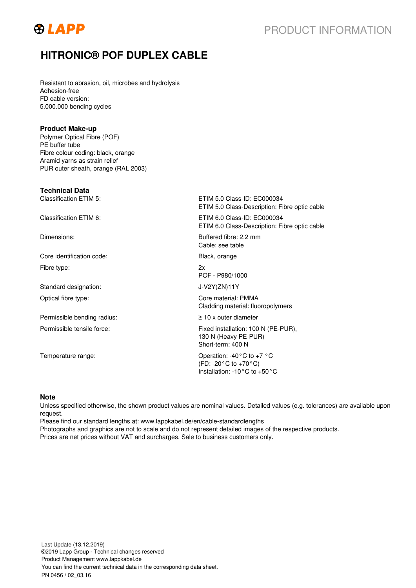

# **HITRONIC® POF DUPLEX CABLE**

Resistant to abrasion, oil, microbes and hydrolysis Adhesion-free FD cable version: 5.000.000 bending cycles

### **Product Make-up**

Polymer Optical Fibre (POF) PE buffer tube Fibre colour coding: black, orange Aramid yarns as strain relief PUR outer sheath, orange (RAL 2003)

## **Technical Data**

Classification ETIM 5: ETIM 5.0 Class-ID: EC000034 ETIM 5.0 Class-Description: Fibre optic cable Classification ETIM 6: ETIM 6.0 Class-ID: EC000034 ETIM 6.0 Class-Description: Fibre optic cable Dimensions: Buffered fibre: 2.2 mm Cable: see table Core identification code: Black, orange Fibre type: 2x POF - P980/1000 Standard designation: J-V2Y(ZN)11Y Optical fibre type: Core material: PMMA Cladding material: fluoropolymers Permissible bending radius: ≥ 10 x outer diameter Permissible tensile force: Fixed installation: 100 N (PE-PUR), 130 N (Heavy PE-PUR) Short-term: 400 N Temperature range:  $\blacksquare$  Operation: -40°C to +7 °C (FD: -20°C to +70°C) Installation: -10°C to +50°C

### **Note**

Unless specified otherwise, the shown product values are nominal values. Detailed values (e.g. tolerances) are available upon request.

Please find our standard lengths at: www.lappkabel.de/en/cable-standardlengths Photographs and graphics are not to scale and do not represent detailed images of the respective products. Prices are net prices without VAT and surcharges. Sale to business customers only.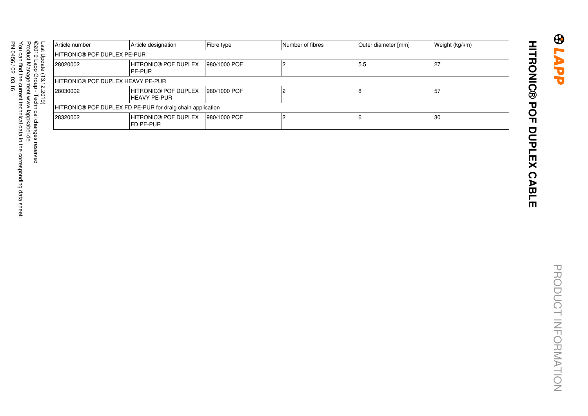| −<br>äst          | Article number                                             | Article designation                       | Fibre type    | Number of fibres | Outer diameter [mm] | Weight (kg/km) |  |  |
|-------------------|------------------------------------------------------------|-------------------------------------------|---------------|------------------|---------------------|----------------|--|--|
| C                 | HITRONIC® POF DUPLEX PE-PUR                                |                                           |               |                  |                     |                |  |  |
| pdate<br>≘        | 28020002                                                   | <b>HITRONIC® POF DUPLEX</b><br>IPE-PUR    | 1980/1000 POF |                  | 5.5                 | 27             |  |  |
| ω<br>∸            | HITRONIC® POF DUPLEX HEAVY PE-PUR                          |                                           |               |                  |                     |                |  |  |
| N<br>Ö,<br>Ļ<br>ٯ | 28030002                                                   | HITRONIC® POF DUPLEX<br>IHEAVY PE-PUR     | 1980/1000 POF |                  |                     | 57             |  |  |
|                   | HITRONIC® POF DUPLEX FD PE-PUR for draig chain application |                                           |               |                  |                     |                |  |  |
|                   | 28320002                                                   | <b>HITRONIC® POF DUPLEX</b><br>IFD PE-PUR | 1980/1000 POF |                  |                     | 30             |  |  |

# **HITRONIC® POF DUPLEX CABLE HITRONIC® POF DUPLEX CABLE**

**GAAL®**